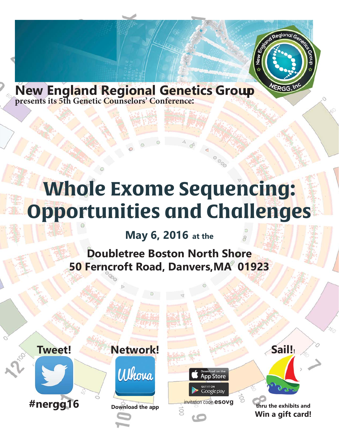

**New England Regional Genetics Group presents its 5th Genetic Counselors' Conference:**

# **Genetic Counseling In Transition: Practice and Philosophy**

000

**App Store** 

Google play

**May 5, 2017 at the Doubletree Boston North Shore 50 Ferncroft Road, Danvers,MA 01923**

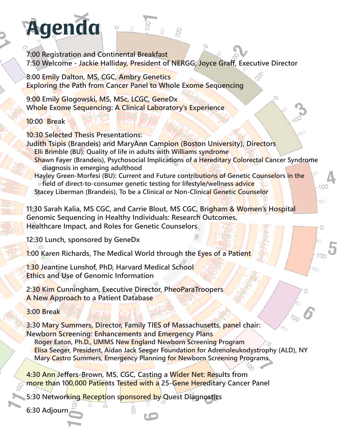

),"" DWefcSf[a` S`V5a` f[`WfS^4dM Sef ), "I Wh WAYSdeXh 8Sk>Sda`lBdAWfaX@7D99-5Sd 5ad [e7 7] Wgf[hV6 [dMfad]

\*,"">SgdW>|U2fWl? El 595<del>1;`ddglfadSf4acf</del>a`G`|HMHkElZaa^aX? WlU`W 5gdae(fk, FZW [`] 4W WYZVBSefl BoMWH S`V8gfgdVdXfZV0WMTU5ag`eW`YBdaXMda`

\*,% 3gVG4WT WI? H59519WWG 9WMMTLE 5ScMa a Yk 8S [ S : kbWd Za WrWa W S & fit : WISTW6 eacMdeaX5a` Wi[HWF eegW

+,% 7dlS4/aglZ1? H > 5951 EMad9WM(U5ag`eWad? 9: 5WfWXad5S UNDJel 3eeMe\_Wf 9WWEMgWU YaXFg\_adeS V;\_bSUfa`9WWWU5ag`eWYY

#","" <g'|V0acHVS V7\_['k4Vd, DScM@W 7 YS V AHMHW aX`Xd\_Sf[a`S'S`VEgbbad`DMagdJMXd8S\_['[Mi [fZDSdMG|eMeW

##,"" Al 'W 9a] WC21bS 1? 616 [dWfadaXEZWkeaea\_S'6 [eNENDWNAUZS VFdNF\_WFG' [f 9 SeUZANG [eASeAABZAeUS' S'VBSfTWfBAAEbAAflAAA' GISY aele

 $-150$ 

#S<sup>""</sup>>g`**U2** doa` ead WTk9 WW6j

#."" > ad 3` ` 5 add 59 ? E 59 5 H 4 a f W a 'a Yk ` 9 W M U 5 a ` eg 'f S f **9WWFZWBbk, 3Vt6 UWF FdWf WfaXDSdV6 [eNEWG]** 

S"" = defWEZS `a`l? El >595l6 [dMadaX5S UM5WAN9WMTLeBdaYd5 Sf? 9: 5SdMd>SWMd[`fZV@WMjUBdaXMda`

S% EVWWFZWeBdWWSfa`e

6W `S4daU\_S /4GfiFZW5D, EBD 5d5 W7j b'ad `YbWWfa `eaX5D, EBDZ5SedefW YWW **Wff** Y

DWWBWMW4Gfi 7j a\_WASU Ta`WBS`We 9WMUBdaXMaa`Sa BWbWfhMy`fZWW 9WWSfa aXBS WFWf Y

Stephanie Laudisi, MS (Brandeis): Where Do We Draw the Line?: Navigating Conflicts of Interest **In the Genetic Counseling Profession** 

Katie Schwarting (Brandeis): An Exploration of the Art of Prenatal Genetic Counseling In Catholic **Hospitals** 

%%? SckFg \_ WH 6 [cMFad 8S\_ ['kF; 7EaX' SccSUZgeWid bS WUZS]d @WTad EldWI Y 7 ZS UVWfeS V7 WIWWKBS e

&%3`\WWEZGhi \?H595}5Sef\YSI WW@WDWgYteXa adVIZS #""I""" BSfJWfeFWfWi JfZS S Ž9WW WWAJfSck 5S UNBS W

3Vagd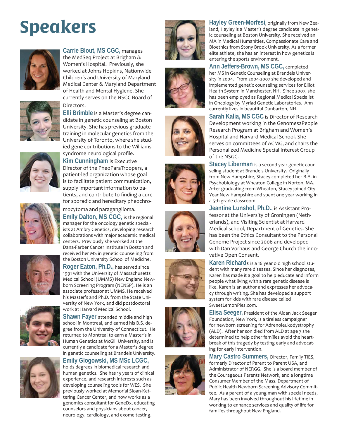# **Speakers**



**Carrie Blout, MS CGC,** manages the MedSeq Project at Brigham & Women's Hospital. Previously, she worked at Johns Hopkins, Nationwide Children's and University of Maryland Medical Center & Maryland Department of Health and Mental Hygiene. She currently serves on the NSGC Board of Directors.



**Elli Brimble** is a Master's degree candidate in genetic counseling at Boston University. She has previous graduate training in molecular genetics from the University of Toronto, where she studied gene contributions to the Williams syndrome neurological profile.



**Kim Cunningham** is Executive Director of the PheoParaTroopers, a patient-led organization whose goal is to facilitate patient communication, supply important information to patients, and contribute to finding a cure for sporadic and hereditary pheochro-



#### mocytoma and paraganglioma.

**Emily Dalton, MS CGC,** is the regional manager for the oncology genetic specialists at Ambry Genetics, developing research collaborations with major academic medical centers. Previously she worked at the Dana-Farber Cancer Institute in Boston and received her MS in genetic counseling from the Boston University School of Medicine.

**Roger Eaton, Ph.D.,** has served since 1991 with the University of Massachusetts Medical School (UMMS) New England Newborn Screening Program (NENSP). He is an associate professor at UMMS. He received his Master's and Ph.D. from the State University of New York, and did postdoctoral work at Harvard Medical School.



**Shawn Fayer** attended middle and high school in Montreal, and earned his B.S. degree from the University of Connecticut. He returned to Montreal to earn a Master's in Human Genetics at McGill University, and is currently a candidate for a Master's degree in genetic counseling at Brandeis University.



### **Emily Glogowski, MS MSc LCGC,**

holds degrees in biomedical research and human genetics. She has 15 years of clinical experience, and research interests such as developing counseling tools for WES. She previously worked at Memorial Sloan-Kettering Cancer Center, and now works as a genomics consultant for GeneDx, educating counselors and physicians about cancer, neurology, cardiology, and exome testing.

















**Hayley Green-Morfesi**, originally from New Zealand, Hayley is a Master's degree candidate in genetic counseling at Boston University. She received an MA in Medical Humanities, Compassionate Care and Bioethics from Stony Brook University. As a former elite athlete, she has an interest in how genetics is entering the sports environment.

**Ann Jeffers-Brown, MS CGC,** completed her MS in Genetic Counseling at Brandeis University in 2004. From 2004-2007 she developed and implemented genetic counseling services for Elliot Health System in Manchester, NH. Since 2007, she has been employed as Regional Medical Specialist in Oncology by Myriad Genetic Laboratories. Ann currently lives in beautiful Dunbarton, NH.

**Sarah Kalia, MS CGC** is Director of Research Development working in the Genomes2People Research Program at Brigham and Women's Hospital and Harvard Medical School. She serves on committees of ACMG, and chairs the Personalized Medicine Special Interest Group of the NSGC.

**Stacey Liberman** is a second year genetic counseling student at Brandeis University. Originally from New Hampshire, Stacey completed her B.A. in Psychobiology at Wheaton College in Norton, MA. After graduating from Wheaton, Stacey joined City Year New Hampshire and spent one year working in a 5th grade classroom.

**Jeantine Lunshof, Ph.D.,** is Assistant Professor at the University of Groningen (Netherlands), and Visiting Scientist at Harvard Medical school, Department of Genetics. She has been the Ethics Consultant to the Personal Genome Project since 2006 and developed with Dan Vorhaus and George Church the innovative Open Consent.

**Karen Richard**s is a 16 year old high school student with many rare diseases. Since her diagnoses, Karen has made it a goal to help educate and inform people what living with a rare genetic disease is like. Karen is an author and expresses her advocacy through writing. She has developed a support system for kids with rare disease called SweetLemonPies.com.

**Elisa Seeger,** President of the Aidan Jack Seeger Foundation, New York, is a tireless campaigner for newborn screening for Adrenoleukodystrophy (ALD). After her son died from ALD at age 7 she determined to help other families avoid the heartbreak of this tragedy by testing early and advocating for early intervention.

**Mary Castro Summers,** Director, Family TIES, formerly Director of Parent to Parent USA, and Administrator of NERGG. She is a board member of the Courageous Parents Network, and a longtime Consumer Member of the Mass. Department of Public Health Newborn Screening Advisory Committee. As a parent of a young man with special needs, Mary has been involved throughout his lifetime in working to enhance services and quality of life for families throughout New England.